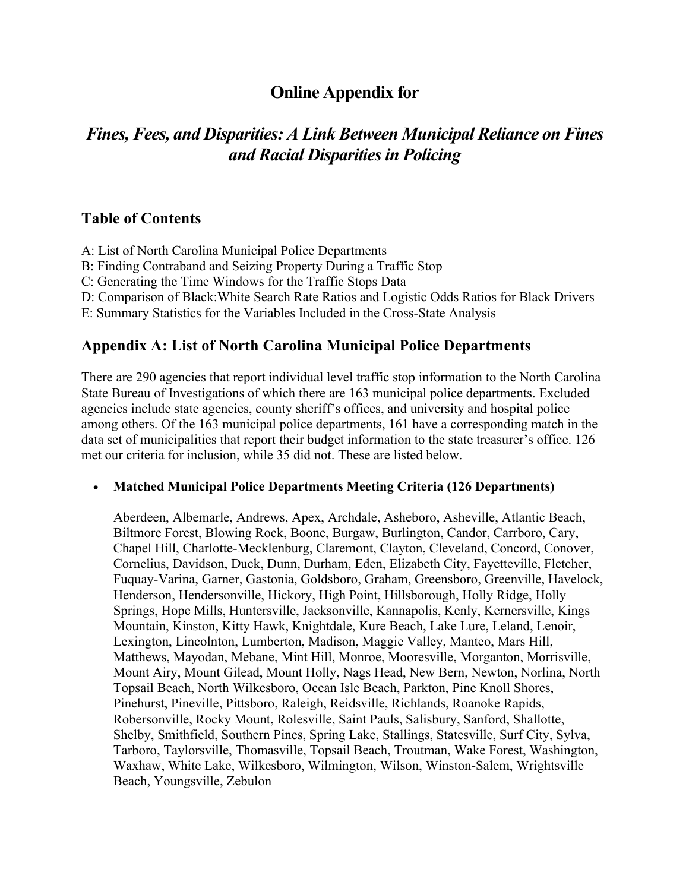## **Online Appendix for**

# *Fines, Fees, and Disparities: A Link Between Municipal Reliance on Fines and Racial Disparitiesin Policing*

#### **Table of Contents**

- A: List of North Carolina Municipal Police Departments
- B: Finding Contraband and Seizing Property During a Traffic Stop
- C: Generating the Time Windows for the Traffic Stops Data
- D: Comparison of Black:White Search Rate Ratios and Logistic Odds Ratios for Black Drivers
- E: Summary Statistics for the Variables Included in the Cross-State Analysis

#### **Appendix A: List of North Carolina Municipal Police Departments**

There are 290 agencies that report individual level traffic stop information to the North Carolina State Bureau of Investigations of which there are 163 municipal police departments. Excluded agencies include state agencies, county sheriff's offices, and university and hospital police among others. Of the 163 municipal police departments, 161 have a corresponding match in the data set of municipalities that report their budget information to the state treasurer's office. 126 met our criteria for inclusion, while 35 did not. These are listed below.

#### • **Matched Municipal Police Departments Meeting Criteria (126 Departments)**

Aberdeen, Albemarle, Andrews, Apex, Archdale, Asheboro, Asheville, Atlantic Beach, Biltmore Forest, Blowing Rock, Boone, Burgaw, Burlington, Candor, Carrboro, Cary, Chapel Hill, Charlotte-Mecklenburg, Claremont, Clayton, Cleveland, Concord, Conover, Cornelius, Davidson, Duck, Dunn, Durham, Eden, Elizabeth City, Fayetteville, Fletcher, Fuquay-Varina, Garner, Gastonia, Goldsboro, Graham, Greensboro, Greenville, Havelock, Henderson, Hendersonville, Hickory, High Point, Hillsborough, Holly Ridge, Holly Springs, Hope Mills, Huntersville, Jacksonville, Kannapolis, Kenly, Kernersville, Kings Mountain, Kinston, Kitty Hawk, Knightdale, Kure Beach, Lake Lure, Leland, Lenoir, Lexington, Lincolnton, Lumberton, Madison, Maggie Valley, Manteo, Mars Hill, Matthews, Mayodan, Mebane, Mint Hill, Monroe, Mooresville, Morganton, Morrisville, Mount Airy, Mount Gilead, Mount Holly, Nags Head, New Bern, Newton, Norlina, North Topsail Beach, North Wilkesboro, Ocean Isle Beach, Parkton, Pine Knoll Shores, Pinehurst, Pineville, Pittsboro, Raleigh, Reidsville, Richlands, Roanoke Rapids, Robersonville, Rocky Mount, Rolesville, Saint Pauls, Salisbury, Sanford, Shallotte, Shelby, Smithfield, Southern Pines, Spring Lake, Stallings, Statesville, Surf City, Sylva, Tarboro, Taylorsville, Thomasville, Topsail Beach, Troutman, Wake Forest, Washington, Waxhaw, White Lake, Wilkesboro, Wilmington, Wilson, Winston-Salem, Wrightsville Beach, Youngsville, Zebulon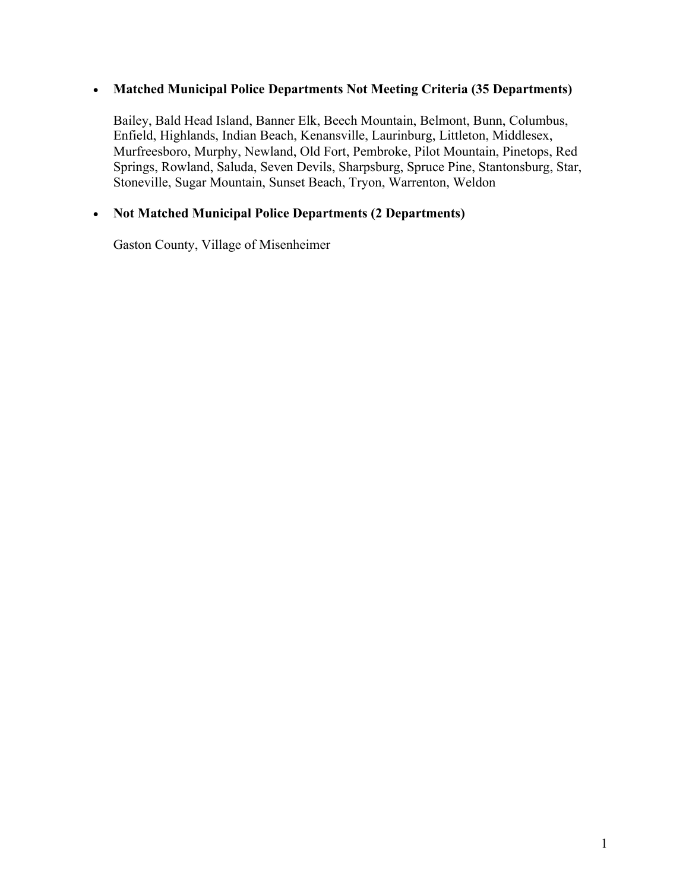#### • **Matched Municipal Police Departments Not Meeting Criteria (35 Departments)**

Bailey, Bald Head Island, Banner Elk, Beech Mountain, Belmont, Bunn, Columbus, Enfield, Highlands, Indian Beach, Kenansville, Laurinburg, Littleton, Middlesex, Murfreesboro, Murphy, Newland, Old Fort, Pembroke, Pilot Mountain, Pinetops, Red Springs, Rowland, Saluda, Seven Devils, Sharpsburg, Spruce Pine, Stantonsburg, Star, Stoneville, Sugar Mountain, Sunset Beach, Tryon, Warrenton, Weldon

#### • **Not Matched Municipal Police Departments (2 Departments)**

Gaston County, Village of Misenheimer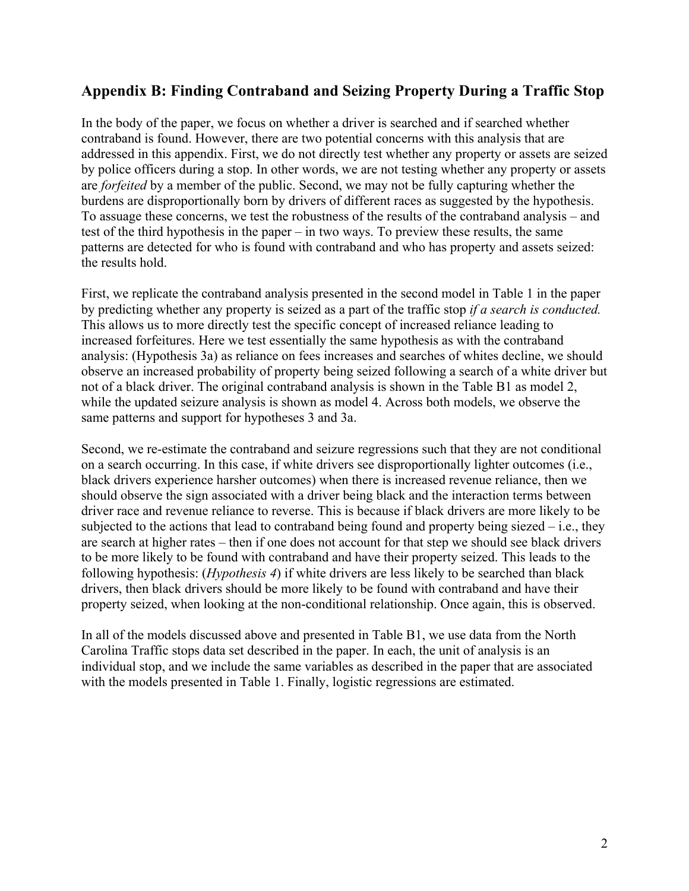### **Appendix B: Finding Contraband and Seizing Property During a Traffic Stop**

In the body of the paper, we focus on whether a driver is searched and if searched whether contraband is found. However, there are two potential concerns with this analysis that are addressed in this appendix. First, we do not directly test whether any property or assets are seized by police officers during a stop. In other words, we are not testing whether any property or assets are *forfeited* by a member of the public. Second, we may not be fully capturing whether the burdens are disproportionally born by drivers of different races as suggested by the hypothesis. To assuage these concerns, we test the robustness of the results of the contraband analysis – and test of the third hypothesis in the paper – in two ways. To preview these results, the same patterns are detected for who is found with contraband and who has property and assets seized: the results hold.

First, we replicate the contraband analysis presented in the second model in Table 1 in the paper by predicting whether any property is seized as a part of the traffic stop *if a search is conducted.*  This allows us to more directly test the specific concept of increased reliance leading to increased forfeitures. Here we test essentially the same hypothesis as with the contraband analysis: (Hypothesis 3a) as reliance on fees increases and searches of whites decline, we should observe an increased probability of property being seized following a search of a white driver but not of a black driver. The original contraband analysis is shown in the Table B1 as model 2, while the updated seizure analysis is shown as model 4. Across both models, we observe the same patterns and support for hypotheses 3 and 3a.

Second, we re-estimate the contraband and seizure regressions such that they are not conditional on a search occurring. In this case, if white drivers see disproportionally lighter outcomes (i.e., black drivers experience harsher outcomes) when there is increased revenue reliance, then we should observe the sign associated with a driver being black and the interaction terms between driver race and revenue reliance to reverse. This is because if black drivers are more likely to be subjected to the actions that lead to contraband being found and property being siezed  $-$  i.e., they are search at higher rates – then if one does not account for that step we should see black drivers to be more likely to be found with contraband and have their property seized. This leads to the following hypothesis: (*Hypothesis 4*) if white drivers are less likely to be searched than black drivers, then black drivers should be more likely to be found with contraband and have their property seized, when looking at the non-conditional relationship. Once again, this is observed.

In all of the models discussed above and presented in Table B1, we use data from the North Carolina Traffic stops data set described in the paper. In each, the unit of analysis is an individual stop, and we include the same variables as described in the paper that are associated with the models presented in Table 1. Finally, logistic regressions are estimated.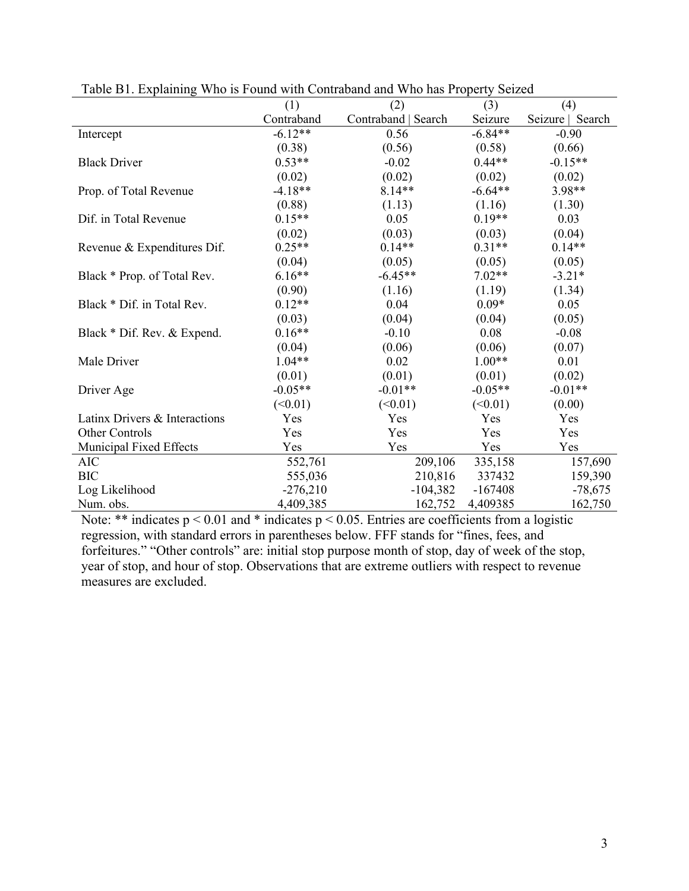| Table DT. Explaining Wild is Found with Contraband and Wild has Floperty Scized |            |                     |           |                  |  |  |  |  |
|---------------------------------------------------------------------------------|------------|---------------------|-----------|------------------|--|--|--|--|
|                                                                                 | (1)        | (2)                 | (3)       | (4)              |  |  |  |  |
|                                                                                 | Contraband | Contraband   Search | Seizure   | Seizure   Search |  |  |  |  |
| Intercept                                                                       | $-6.12**$  | 0.56                | $-6.84**$ | $-0.90$          |  |  |  |  |
|                                                                                 | (0.38)     | (0.56)              | (0.58)    | (0.66)           |  |  |  |  |
| <b>Black Driver</b>                                                             | $0.53**$   | $-0.02$             | $0.44**$  | $-0.15**$        |  |  |  |  |
|                                                                                 | (0.02)     | (0.02)              | (0.02)    | (0.02)           |  |  |  |  |
| Prop. of Total Revenue                                                          | $-4.18**$  | $8.14**$            | $-6.64**$ | 3.98**           |  |  |  |  |
|                                                                                 | (0.88)     | (1.13)              | (1.16)    | (1.30)           |  |  |  |  |
| Dif. in Total Revenue                                                           | $0.15**$   | 0.05                | $0.19**$  | 0.03             |  |  |  |  |
|                                                                                 | (0.02)     | (0.03)              | (0.03)    | (0.04)           |  |  |  |  |
| Revenue & Expenditures Dif.                                                     | $0.25**$   | $0.14**$            | $0.31**$  | $0.14**$         |  |  |  |  |
|                                                                                 | (0.04)     | (0.05)              | (0.05)    | (0.05)           |  |  |  |  |
| Black * Prop. of Total Rev.                                                     | $6.16**$   | $-6.45**$           | $7.02**$  | $-3.21*$         |  |  |  |  |
|                                                                                 | (0.90)     | (1.16)              | (1.19)    | (1.34)           |  |  |  |  |
| Black * Dif. in Total Rev.                                                      | $0.12**$   | 0.04                | $0.09*$   | 0.05             |  |  |  |  |
|                                                                                 | (0.03)     | (0.04)              | (0.04)    | (0.05)           |  |  |  |  |
| Black * Dif. Rev. & Expend.                                                     | $0.16**$   | $-0.10$             | 0.08      | $-0.08$          |  |  |  |  |
|                                                                                 | (0.04)     | (0.06)              | (0.06)    | (0.07)           |  |  |  |  |
| Male Driver                                                                     | $1.04**$   | 0.02                | $1.00**$  | 0.01             |  |  |  |  |
|                                                                                 | (0.01)     | (0.01)              | (0.01)    | (0.02)           |  |  |  |  |
| Driver Age                                                                      | $-0.05**$  | $-0.01**$           | $-0.05**$ | $-0.01**$        |  |  |  |  |
|                                                                                 | (<0.01)    | (<0.01)             | (<0.01)   | (0.00)           |  |  |  |  |
| Latinx Drivers & Interactions                                                   | Yes        | Yes                 | Yes       | Yes              |  |  |  |  |
| <b>Other Controls</b>                                                           | Yes        | Yes                 | Yes       | Yes              |  |  |  |  |
| Municipal Fixed Effects                                                         | Yes        | Yes                 | Yes       | Yes              |  |  |  |  |
| <b>AIC</b>                                                                      | 552,761    | 209,106             | 335,158   | 157,690          |  |  |  |  |
| <b>BIC</b>                                                                      | 555,036    | 210,816             | 337432    | 159,390          |  |  |  |  |
| Log Likelihood                                                                  | $-276,210$ | $-104,382$          | $-167408$ | $-78,675$        |  |  |  |  |
| Num. obs.                                                                       | 4,409,385  | 162,752             | 4,409385  | 162,750          |  |  |  |  |

Table B1. Explaining Who is Found with Contraband and Who has Property Seized

Note: \*\* indicates  $p < 0.01$  and \* indicates  $p < 0.05$ . Entries are coefficients from a logistic regression, with standard errors in parentheses below. FFF stands for "fines, fees, and forfeitures." "Other controls" are: initial stop purpose month of stop, day of week of the stop, year of stop, and hour of stop. Observations that are extreme outliers with respect to revenue measures are excluded.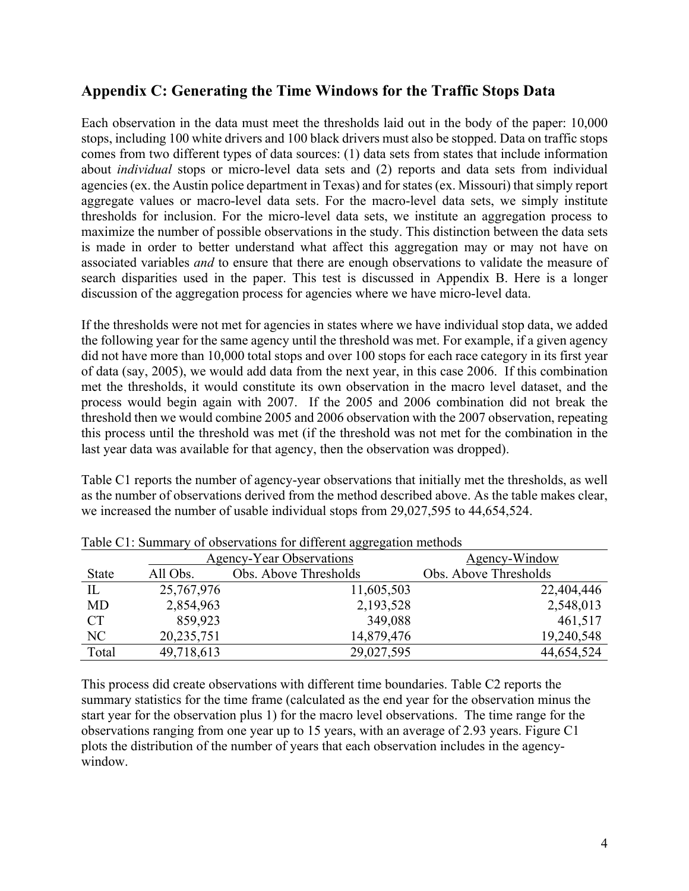#### **Appendix C: Generating the Time Windows for the Traffic Stops Data**

Each observation in the data must meet the thresholds laid out in the body of the paper: 10,000 stops, including 100 white drivers and 100 black drivers must also be stopped. Data on traffic stops comes from two different types of data sources: (1) data sets from states that include information about *individual* stops or micro-level data sets and (2) reports and data sets from individual agencies (ex. the Austin police department in Texas) and for states (ex. Missouri) that simply report aggregate values or macro-level data sets. For the macro-level data sets, we simply institute thresholds for inclusion. For the micro-level data sets, we institute an aggregation process to maximize the number of possible observations in the study. This distinction between the data sets is made in order to better understand what affect this aggregation may or may not have on associated variables *and* to ensure that there are enough observations to validate the measure of search disparities used in the paper. This test is discussed in Appendix B. Here is a longer discussion of the aggregation process for agencies where we have micro-level data.

If the thresholds were not met for agencies in states where we have individual stop data, we added the following year for the same agency until the threshold was met. For example, if a given agency did not have more than 10,000 total stops and over 100 stops for each race category in its first year of data (say, 2005), we would add data from the next year, in this case 2006. If this combination met the thresholds, it would constitute its own observation in the macro level dataset, and the process would begin again with 2007. If the 2005 and 2006 combination did not break the threshold then we would combine 2005 and 2006 observation with the 2007 observation, repeating this process until the threshold was met (if the threshold was not met for the combination in the last year data was available for that agency, then the observation was dropped).

Table C1 reports the number of agency-year observations that initially met the thresholds, as well as the number of observations derived from the method described above. As the table makes clear, we increased the number of usable individual stops from 29,027,595 to 44,654,524.

| Tuoto ett. Buillinui y of observations for unferent aggregation methods |            |                                 |                       |  |  |  |  |  |  |  |
|-------------------------------------------------------------------------|------------|---------------------------------|-----------------------|--|--|--|--|--|--|--|
|                                                                         |            | <b>Agency-Year Observations</b> | Agency-Window         |  |  |  |  |  |  |  |
| <b>State</b>                                                            | All Obs.   | Obs. Above Thresholds           | Obs. Above Thresholds |  |  |  |  |  |  |  |
| IL                                                                      | 25,767,976 | 11,605,503                      | 22,404,446            |  |  |  |  |  |  |  |
| <b>MD</b>                                                               | 2,854,963  | 2,193,528                       | 2,548,013             |  |  |  |  |  |  |  |
| <b>CT</b>                                                               | 859,923    | 349,088                         | 461,517               |  |  |  |  |  |  |  |
| NC                                                                      | 20,235,751 | 14,879,476                      | 19,240,548            |  |  |  |  |  |  |  |
| Total                                                                   | 49,718,613 | 29,027,595                      | 44,654,524            |  |  |  |  |  |  |  |

Table C1: Summary of observations for different aggregation methods

This process did create observations with different time boundaries. Table C2 reports the summary statistics for the time frame (calculated as the end year for the observation minus the start year for the observation plus 1) for the macro level observations. The time range for the observations ranging from one year up to 15 years, with an average of 2.93 years. Figure C1 plots the distribution of the number of years that each observation includes in the agencywindow.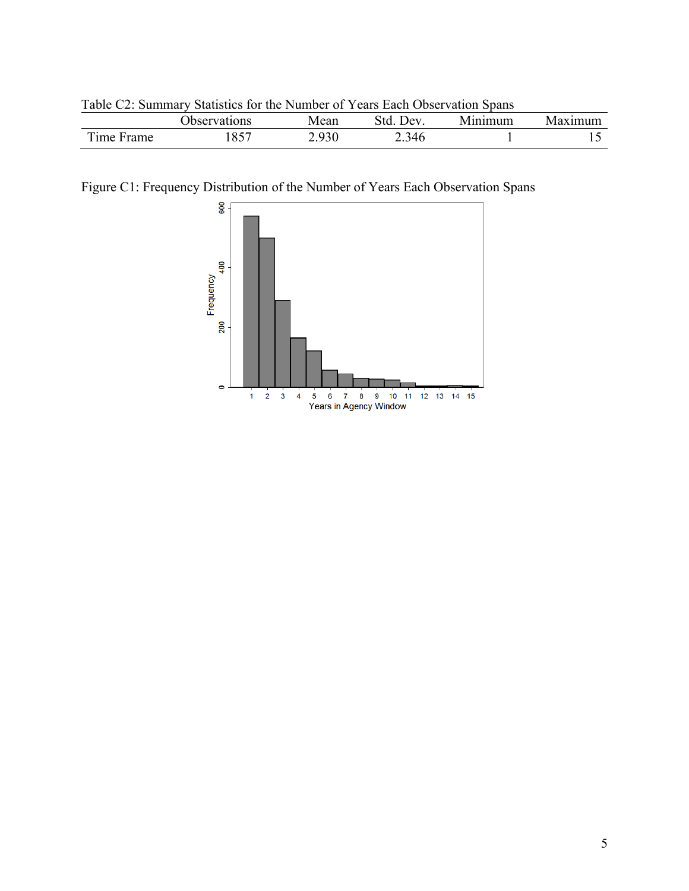| Table $C_2$ . Summary Statistics for the Number of Tears Each Observation Spans |              |       |           |         |         |  |  |  |  |  |
|---------------------------------------------------------------------------------|--------------|-------|-----------|---------|---------|--|--|--|--|--|
|                                                                                 | Observations | Mean  | Std. Dev. | Minimum | Maximum |  |  |  |  |  |
| Time Frame                                                                      | 1857         | 2.930 | 2.346     |         |         |  |  |  |  |  |

Table C2: Summary Statistics for the Number of Years Each Observation Spans

Figure C1: Frequency Distribution of the Number of Years Each Observation Spans

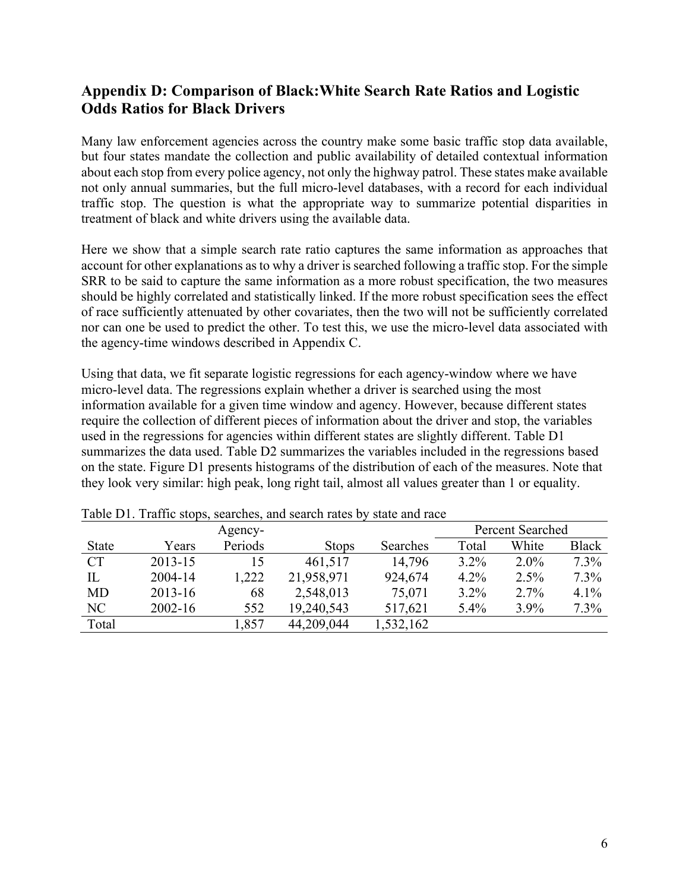### **Appendix D: Comparison of Black:White Search Rate Ratios and Logistic Odds Ratios for Black Drivers**

Many law enforcement agencies across the country make some basic traffic stop data available, but four states mandate the collection and public availability of detailed contextual information about each stop from every police agency, not only the highway patrol. These states make available not only annual summaries, but the full micro-level databases, with a record for each individual traffic stop. The question is what the appropriate way to summarize potential disparities in treatment of black and white drivers using the available data.

Here we show that a simple search rate ratio captures the same information as approaches that account for other explanations as to why a driver is searched following a traffic stop. For the simple SRR to be said to capture the same information as a more robust specification, the two measures should be highly correlated and statistically linked. If the more robust specification sees the effect of race sufficiently attenuated by other covariates, then the two will not be sufficiently correlated nor can one be used to predict the other. To test this, we use the micro-level data associated with the agency-time windows described in Appendix C.

Using that data, we fit separate logistic regressions for each agency-window where we have micro-level data. The regressions explain whether a driver is searched using the most information available for a given time window and agency. However, because different states require the collection of different pieces of information about the driver and stop, the variables used in the regressions for agencies within different states are slightly different. Table D1 summarizes the data used. Table D2 summarizes the variables included in the regressions based on the state. Figure D1 presents histograms of the distribution of each of the measures. Note that they look very similar: high peak, long right tail, almost all values greater than 1 or equality.

|              |             | Agency- |              |           |         | <b>Percent Searched</b> |              |
|--------------|-------------|---------|--------------|-----------|---------|-------------------------|--------------|
| <b>State</b> | Years       | Periods | <b>Stops</b> | Searches  | Total   | White                   | <b>Black</b> |
| CT           | 2013-15     | 15      | 461,517      | 14,796    | $3.2\%$ | $2.0\%$                 | $7.3\%$      |
| IL           | 2004-14     | 1,222   | 21,958,971   | 924,674   | 4.2%    | 2.5%                    | 7.3%         |
| <b>MD</b>    | $2013 - 16$ | 68      | 2,548,013    | 75,071    | $3.2\%$ | 2.7%                    | 4.1%         |
| NC           | $2002 - 16$ | 552     | 19,240,543   | 517,621   | 5.4%    | 3.9%                    | $7.3\%$      |
| Total        |             | 1,857   | 44,209,044   | 1,532,162 |         |                         |              |

Table D1. Traffic stops, searches, and search rates by state and race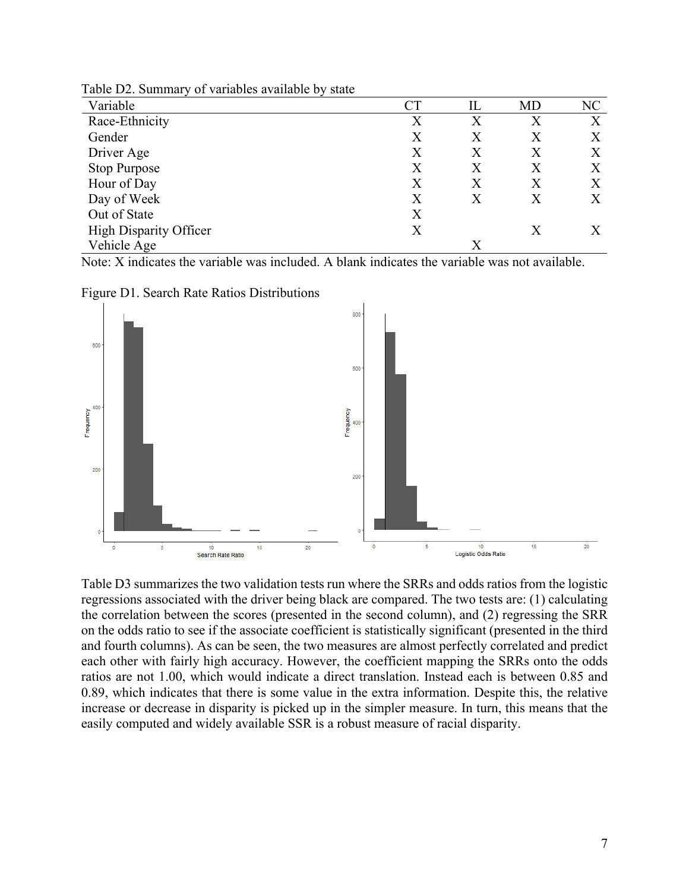| Variable                      | $\operatorname{CT}$ | IL | MD | NC |
|-------------------------------|---------------------|----|----|----|
| Race-Ethnicity                | X                   | X  | X  | X  |
| Gender                        | Χ                   | X  | X  | X  |
| Driver Age                    | X                   | X  | Χ  | X  |
| <b>Stop Purpose</b>           | X                   | X  | Χ  | X  |
| Hour of Day                   | Χ                   | X  | X  | X  |
| Day of Week                   | X                   | X  | Χ  | Χ  |
| Out of State                  | X                   |    |    |    |
| <b>High Disparity Officer</b> | X                   |    | X  |    |
| Vehicle Age                   |                     | X  |    |    |

Table D2. Summary of variables available by state

Note: X indicates the variable was included. A blank indicates the variable was not available.





Table D3 summarizes the two validation tests run where the SRRs and odds ratios from the logistic regressions associated with the driver being black are compared. The two tests are: (1) calculating the correlation between the scores (presented in the second column), and (2) regressing the SRR on the odds ratio to see if the associate coefficient is statistically significant (presented in the third and fourth columns). As can be seen, the two measures are almost perfectly correlated and predict each other with fairly high accuracy. However, the coefficient mapping the SRRs onto the odds ratios are not 1.00, which would indicate a direct translation. Instead each is between 0.85 and 0.89, which indicates that there is some value in the extra information. Despite this, the relative increase or decrease in disparity is picked up in the simpler measure. In turn, this means that the easily computed and widely available SSR is a robust measure of racial disparity.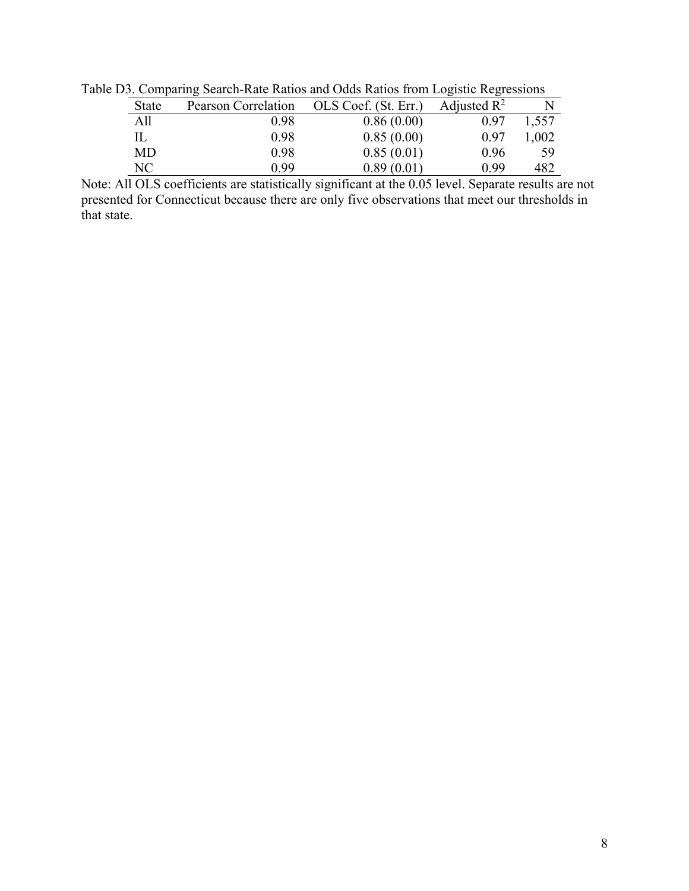| <b>State</b> | Pearson Correlation | OLS Coef. (St. Err.) | Adjusted $\mathbb{R}^2$ |       |
|--------------|---------------------|----------------------|-------------------------|-------|
| All          | 0.98                | 0.86(0.00)           | 0.97                    | 1,557 |
|              | 0.98                | 0.85(0.00)           | 0.97                    | 1,002 |
| MD           | 0.98                | 0.85(0.01)           | 0.96                    | 59    |
| NС           | 0.99                | 0.89(0.01)           | 0.99                    | 482   |

Table D3. Comparing Search-Rate Ratios and Odds Ratios from Logistic Regressions

Note: All OLS coefficients are statistically significant at the 0.05 level. Separate results are not presented for Connecticut because there are only five observations that meet our thresholds in that state.